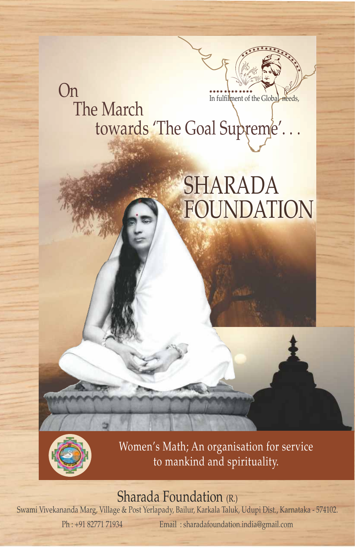## On The March towards 'The Goal Supreme'... In fulfilment of the Glob

# SHARADA FOUNDATION



Women's Math; An organisation for service to mankind and spirituality.

## Sharada Foundation (R.)

Swami Vivekananda Marg, Village & Post Yerlapady, Bailur, Karkala Taluk, Udupi Dist., Karnataka - 574102. Ph : +91 82771 71934 Email : sharadafoundation.india@gmail.com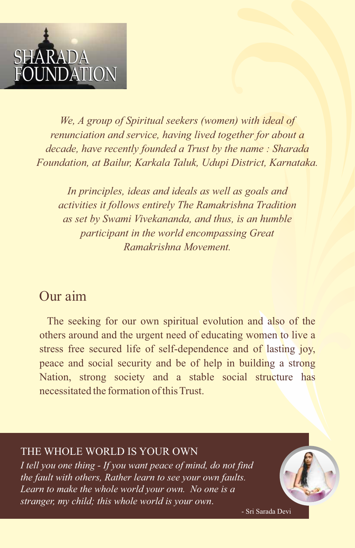

*We, A group of Spiritual seekers (women) with ideal of renunciation and service, having lived together for about a decade, have recently founded a Trust by the name : Sharada Foundation, at Bailur, Karkala Taluk, Udupi District, Karnataka.*

*In principles, ideas and ideals as well as goals and activities it follows entirely The Ramakrishna Tradition as set by Swami Vivekananda, and thus, is an humble participant in the world encompassing Great Ramakrishna Movement.*

## Our aim

The seeking for our own spiritual evolution and also of the others around and the urgent need of educating women to live a stress free secured life of self-dependence and of lasting joy, peace and social security and be of help in building a strong Nation, strong society and a stable social structure has necessitated the formation of this Trust.

#### THE WHOLE WORLD IS YOUR OWN

*I tell you one thing - If you want peace of mind, do not find the fault with others, Rather learn to see your own faults. Learn to make the whole world your own. No one is a stranger, my child; this whole world is your own*.

- Sri Sarada Devi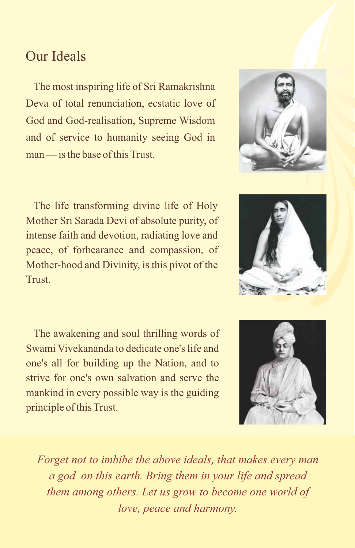## Our Ideals

The most inspiring life of Sri Ramakrishna Deva of total renunciation, ecstatic love of God and God-realisation, Supreme Wisdom and of service to humanity seeing God in  $m$ an — is the base of this Trust.

The life transforming divine life of Holy Mother Sri Sarada Devi of absolute purity, of intense faith and devotion, radiating love and peace, of forbearance and compassion, of Mother-hood and Divinity, is this pivot of the Trust.

The awakening and soul thrilling words of Swami Vivekananda to dedicate one's life and one's all for building up the Nation, and to strive for one's own salvation and serve the mankind in every possible way is the guiding principle of this Trust.

*Forget not to imbibe the above ideals, that makes every man a god on this earth. Bring them in your life and spread them among others. Let us grow to become one world of love, peace and harmony.*